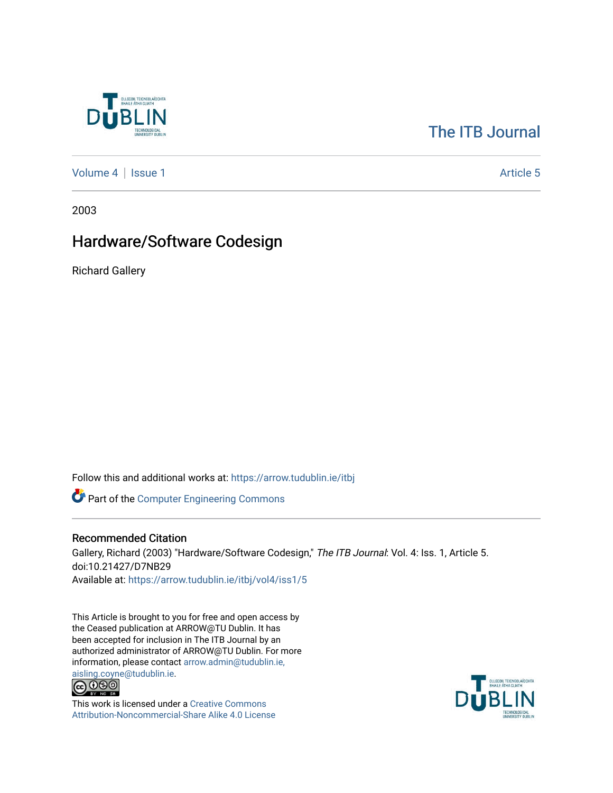

# [The ITB Journal](https://arrow.tudublin.ie/itbj)

[Volume 4](https://arrow.tudublin.ie/itbj/vol4) | [Issue 1](https://arrow.tudublin.ie/itbj/vol4/iss1) Article 5

2003

# Hardware/Software Codesign

Richard Gallery

Follow this and additional works at: [https://arrow.tudublin.ie/itbj](https://arrow.tudublin.ie/itbj?utm_source=arrow.tudublin.ie%2Fitbj%2Fvol4%2Fiss1%2F5&utm_medium=PDF&utm_campaign=PDFCoverPages) 

Part of the [Computer Engineering Commons](http://network.bepress.com/hgg/discipline/258?utm_source=arrow.tudublin.ie%2Fitbj%2Fvol4%2Fiss1%2F5&utm_medium=PDF&utm_campaign=PDFCoverPages) 

### Recommended Citation

Gallery, Richard (2003) "Hardware/Software Codesign," The ITB Journal: Vol. 4: Iss. 1, Article 5. doi:10.21427/D7NB29 Available at: [https://arrow.tudublin.ie/itbj/vol4/iss1/5](https://arrow.tudublin.ie/itbj/vol4/iss1/5?utm_source=arrow.tudublin.ie%2Fitbj%2Fvol4%2Fiss1%2F5&utm_medium=PDF&utm_campaign=PDFCoverPages) 

This Article is brought to you for free and open access by the Ceased publication at ARROW@TU Dublin. It has been accepted for inclusion in The ITB Journal by an authorized administrator of ARROW@TU Dublin. For more information, please contact [arrow.admin@tudublin.ie,](mailto:arrow.admin@tudublin.ie,%20aisling.coyne@tudublin.ie) 



This work is licensed under a [Creative Commons](http://creativecommons.org/licenses/by-nc-sa/4.0/) [Attribution-Noncommercial-Share Alike 4.0 License](http://creativecommons.org/licenses/by-nc-sa/4.0/)

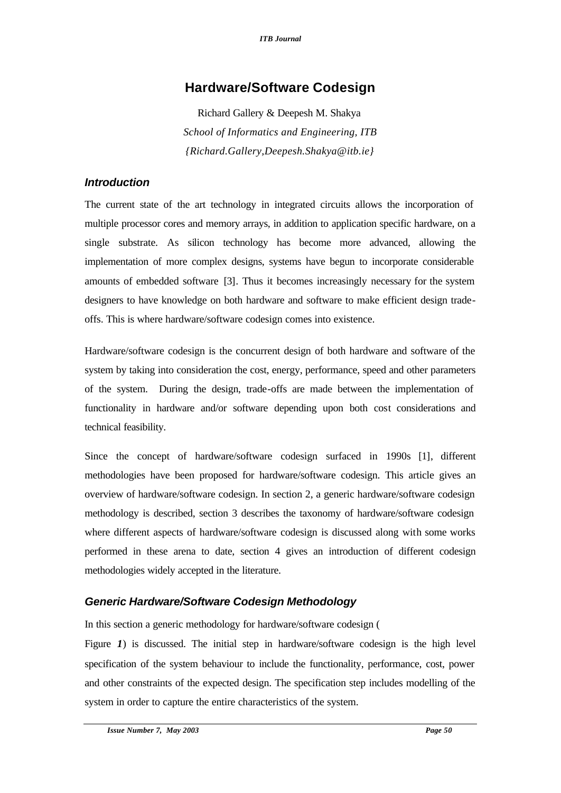## **Hardware/Software Codesign**

 Richard Gallery & Deepesh M. Shakya *School of Informatics and Engineering, ITB {Richard.Gallery,Deepesh.Shakya@itb.ie}*

## *Introduction*

The current state of the art technology in integrated circuits allows the incorporation of multiple processor cores and memory arrays, in addition to application specific hardware, on a single substrate. As silicon technology has become more advanced, allowing the implementation of more complex designs, systems have begun to incorporate considerable amounts of embedded software [3]. Thus it becomes increasingly necessary for the system designers to have knowledge on both hardware and software to make efficient design tradeoffs. This is where hardware/software codesign comes into existence.

Hardware/software codesign is the concurrent design of both hardware and software of the system by taking into consideration the cost, energy, performance, speed and other parameters of the system. During the design, trade-offs are made between the implementation of functionality in hardware and/or software depending upon both cost considerations and technical feasibility.

Since the concept of hardware/software codesign surfaced in 1990s [1], different methodologies have been proposed for hardware/software codesign. This article gives an overview of hardware/software codesign. In section 2, a generic hardware/software codesign methodology is described, section 3 describes the taxonomy of hardware/software codesign where different aspects of hardware/software codesign is discussed along with some works performed in these arena to date, section 4 gives an introduction of different codesign methodologies widely accepted in the literature.

## *Generic Hardware/Software Codesign Methodology*

In this section a generic methodology for hardware/software codesign (

Figure 1) is discussed. The initial step in hardware/software codesign is the high level specification of the system behaviour to include the functionality, performance, cost, power and other constraints of the expected design. The specification step includes modelling of the system in order to capture the entire characteristics of the system.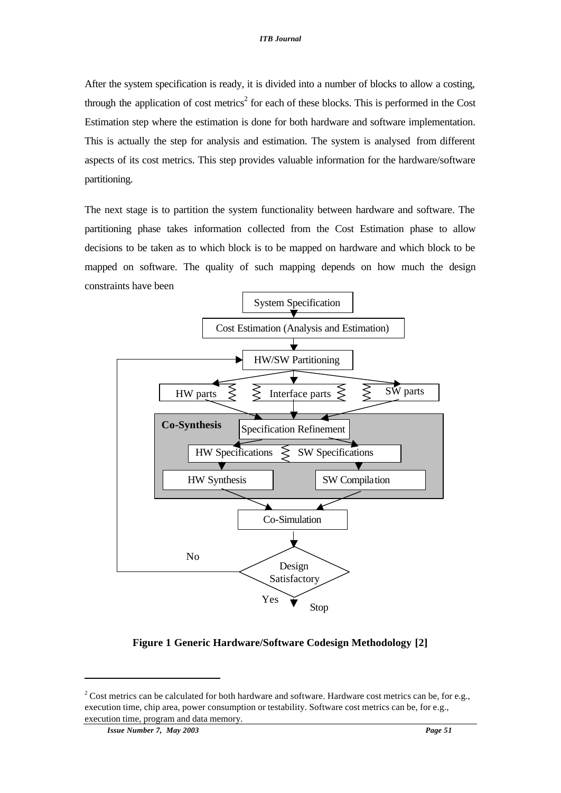After the system specification is ready, it is divided into a number of blocks to allow a costing, through the application of cost metrics<sup>2</sup> for each of these blocks. This is performed in the Cost Estimation step where the estimation is done for both hardware and software implementation. This is actually the step for analysis and estimation. The system is analysed from different aspects of its cost metrics. This step provides valuable information for the hardware/software partitioning.

The next stage is to partition the system functionality between hardware and software. The partitioning phase takes information collected from the Cost Estimation phase to allow decisions to be taken as to which block is to be mapped on hardware and which block to be mapped on software. The quality of such mapping depends on how much the design constraints have been



**Figure 1 Generic Hardware/Software Codesign Methodology [2]**

<sup>&</sup>lt;sup>2</sup> Cost metrics can be calculated for both hardware and software. Hardware cost metrics can be, for e.g., execution time, chip area, power consumption or testability. Software cost metrics can be, for e.g., execution time, program and data memory.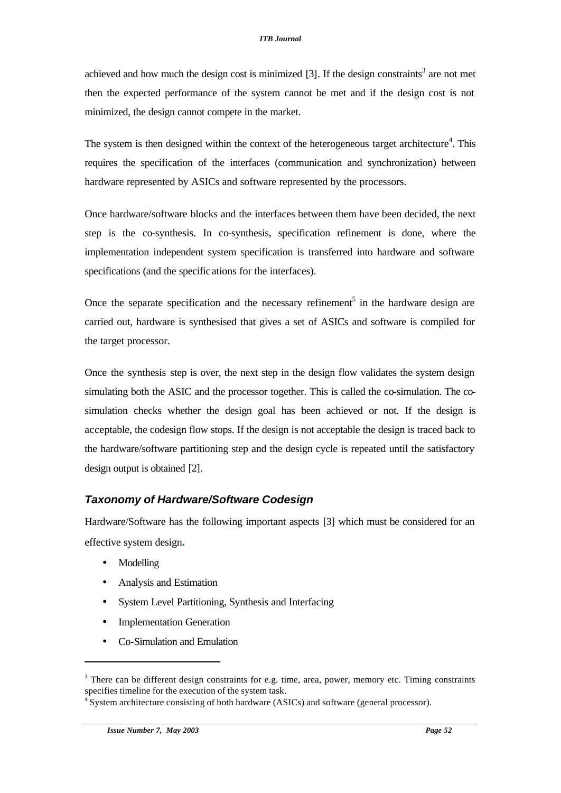achieved and how much the design cost is minimized  $[3]$ . If the design constraints<sup>3</sup> are not met then the expected performance of the system cannot be met and if the design cost is not minimized, the design cannot compete in the market.

The system is then designed within the context of the heterogeneous target architecture<sup>4</sup>. This requires the specification of the interfaces (communication and synchronization) between hardware represented by ASICs and software represented by the processors.

Once hardware/software blocks and the interfaces between them have been decided, the next step is the co-synthesis. In co-synthesis, specification refinement is done, where the implementation independent system specification is transferred into hardware and software specifications (and the specific ations for the interfaces).

Once the separate specification and the necessary refinement<sup>5</sup> in the hardware design are carried out, hardware is synthesised that gives a set of ASICs and software is compiled for the target processor.

Once the synthesis step is over, the next step in the design flow validates the system design simulating both the ASIC and the processor together. This is called the co-simulation. The cosimulation checks whether the design goal has been achieved or not. If the design is acceptable, the codesign flow stops. If the design is not acceptable the design is traced back to the hardware/software partitioning step and the design cycle is repeated until the satisfactory design output is obtained [2].

### *Taxonomy of Hardware/Software Codesign*

Hardware/Software has the following important aspects [3] which must be considered for an effective system design**.** 

• Modelling

- Analysis and Estimation
- System Level Partitioning, Synthesis and Interfacing
- **Implementation Generation**
- Co-Simulation and Emulation

 $3$  There can be different design constraints for e.g. time, area, power, memory etc. Timing constraints specifies timeline for the execution of the system task.

<sup>&</sup>lt;sup>4</sup> System architecture consisting of both hardware (ASICs) and software (general processor).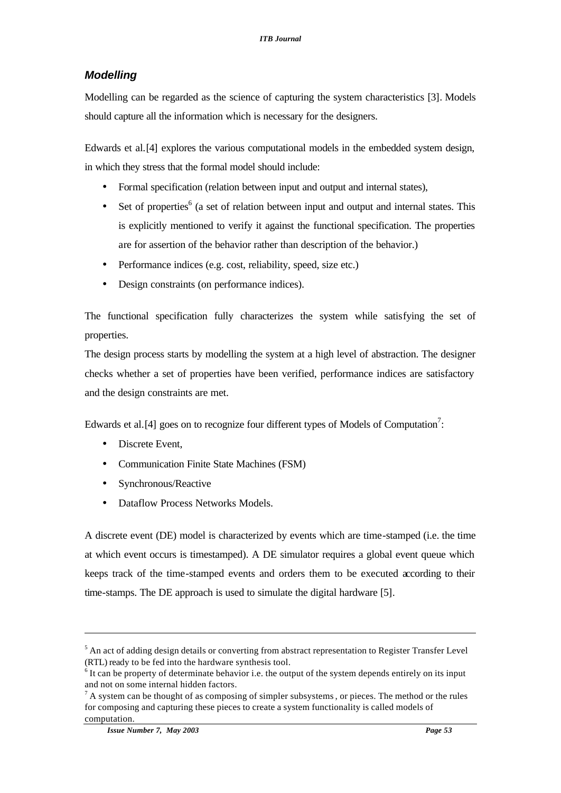## *Modelling*

Modelling can be regarded as the science of capturing the system characteristics [3]. Models should capture all the information which is necessary for the designers.

Edwards et al.[4] explores the various computational models in the embedded system design, in which they stress that the formal model should include:

- Formal specification (relation between input and output and internal states),
- Set of properties<sup>6</sup> (a set of relation between input and output and internal states. This is explicitly mentioned to verify it against the functional specification. The properties are for assertion of the behavior rather than description of the behavior.)
- Performance indices (e.g. cost, reliability, speed, size etc.)
- Design constraints (on performance indices).

The functional specification fully characterizes the system while satisfying the set of properties.

The design process starts by modelling the system at a high level of abstraction. The designer checks whether a set of properties have been verified, performance indices are satisfactory and the design constraints are met.

Edwards et al. [4] goes on to recognize four different types of Models of Computation<sup>7</sup>:

- Discrete Event.
- Communication Finite State Machines (FSM)
- Synchronous/Reactive
- Dataflow Process Networks Models.

A discrete event (DE) model is characterized by events which are time-stamped (i.e. the time at which event occurs is timestamped). A DE simulator requires a global event queue which keeps track of the time-stamped events and orders them to be executed according to their time-stamps. The DE approach is used to simulate the digital hardware [5].

<sup>&</sup>lt;sup>5</sup> An act of adding design details or converting from abstract representation to Register Transfer Level (RTL) ready to be fed into the hardware synthesis tool.

 $6$  It can be property of determinate behavior i.e. the output of the system depends entirely on its input and not on some internal hidden factors.

 $<sup>7</sup>$  A system can be thought of as composing of simpler subsystems, or pieces. The method or the rules</sup> for composing and capturing these pieces to create a system functionality is called models of computation.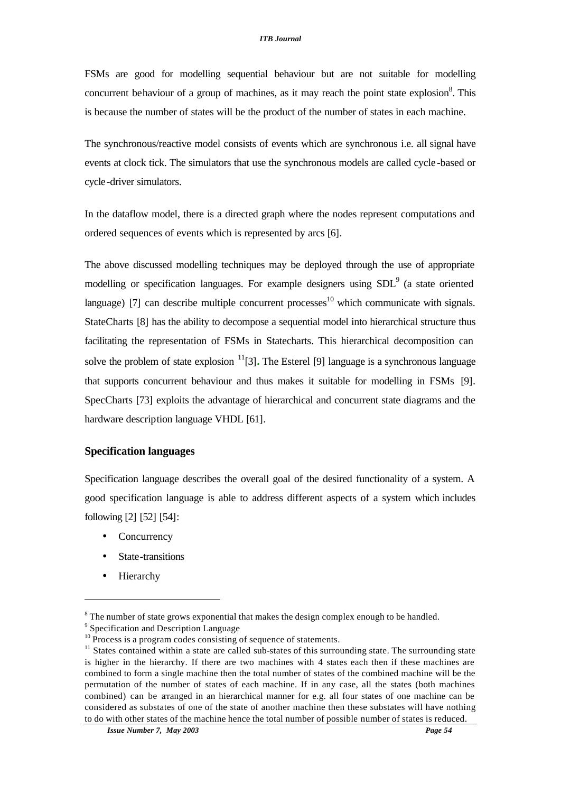FSMs are good for modelling sequential behaviour but are not suitable for modelling concurrent behaviour of a group of machines, as it may reach the point state explosion<sup>8</sup>. This is because the number of states will be the product of the number of states in each machine.

The synchronous/reactive model consists of events which are synchronous i.e. all signal have events at clock tick. The simulators that use the synchronous models are called cycle -based or cycle-driver simulators.

In the dataflow model, there is a directed graph where the nodes represent computations and ordered sequences of events which is represented by arcs [6].

The above discussed modelling techniques may be deployed through the use of appropriate modelling or specification languages. For example designers using  $SDL<sup>9</sup>$  (a state oriented language) [7] can describe multiple concurrent processes<sup>10</sup> which communicate with signals. StateCharts [8] has the ability to decompose a sequential model into hierarchical structure thus facilitating the representation of FSMs in Statecharts. This hierarchical decomposition can solve the problem of state explosion  $\frac{11}{3}$ . The Esterel [9] language is a synchronous language that supports concurrent behaviour and thus makes it suitable for modelling in FSMs [9]. SpecCharts [73] exploits the advantage of hierarchical and concurrent state diagrams and the hardware description language VHDL [61].

### **Specification languages**

Specification language describes the overall goal of the desired functionality of a system. A good specification language is able to address different aspects of a system which includes following [2] [52] [54]:

- Concurrency
- State-transitions
- Hierarchy

 $\overline{a}$ 

<sup>9</sup> Specification and Description Language

 $8$  The number of state grows exponential that makes the design complex enough to be handled.

 $10$  Process is a program codes consisting of sequence of statements.

 $11$  States contained within a state are called sub-states of this surrounding state. The surrounding state is higher in the hierarchy. If there are two machines with 4 states each then if these machines are combined to form a single machine then the total number of states of the combined machine will be the permutation of the number of states of each machine. If in any case, all the states (both machines combined) can be arranged in an hierarchical manner for e.g. all four states of one machine can be considered as substates of one of the state of another machine then these substates will have nothing to do with other states of the machine hence the total number of possible number of states is reduced.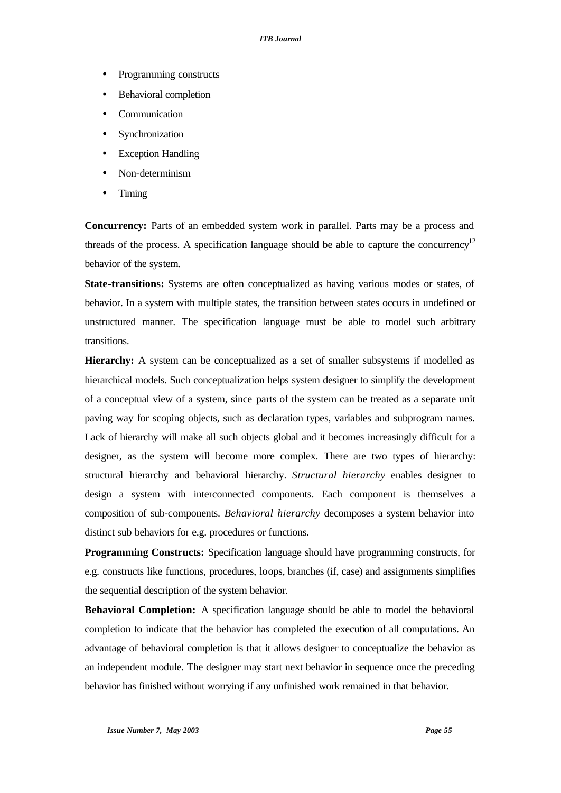- Programming constructs
- Behavioral completion
- **Communication**
- **Synchronization**
- **Exception Handling**
- Non-determinism
- Timing

**Concurrency:** Parts of an embedded system work in parallel. Parts may be a process and threads of the process. A specification language should be able to capture the concurrency<sup>12</sup> behavior of the system.

**State-transitions:** Systems are often conceptualized as having various modes or states, of behavior. In a system with multiple states, the transition between states occurs in undefined or unstructured manner. The specification language must be able to model such arbitrary transitions.

**Hierarchy:** A system can be conceptualized as a set of smaller subsystems if modelled as hierarchical models. Such conceptualization helps system designer to simplify the development of a conceptual view of a system, since parts of the system can be treated as a separate unit paving way for scoping objects, such as declaration types, variables and subprogram names. Lack of hierarchy will make all such objects global and it becomes increasingly difficult for a designer, as the system will become more complex. There are two types of hierarchy: structural hierarchy and behavioral hierarchy. *Structural hierarchy* enables designer to design a system with interconnected components. Each component is themselves a composition of sub-components. *Behavioral hierarchy* decomposes a system behavior into distinct sub behaviors for e.g. procedures or functions.

**Programming Constructs:** Specification language should have programming constructs, for e.g. constructs like functions, procedures, loops, branches (if, case) and assignments simplifies the sequential description of the system behavior.

**Behavioral Completion:** A specification language should be able to model the behavioral completion to indicate that the behavior has completed the execution of all computations. An advantage of behavioral completion is that it allows designer to conceptualize the behavior as an independent module. The designer may start next behavior in sequence once the preceding behavior has finished without worrying if any unfinished work remained in that behavior.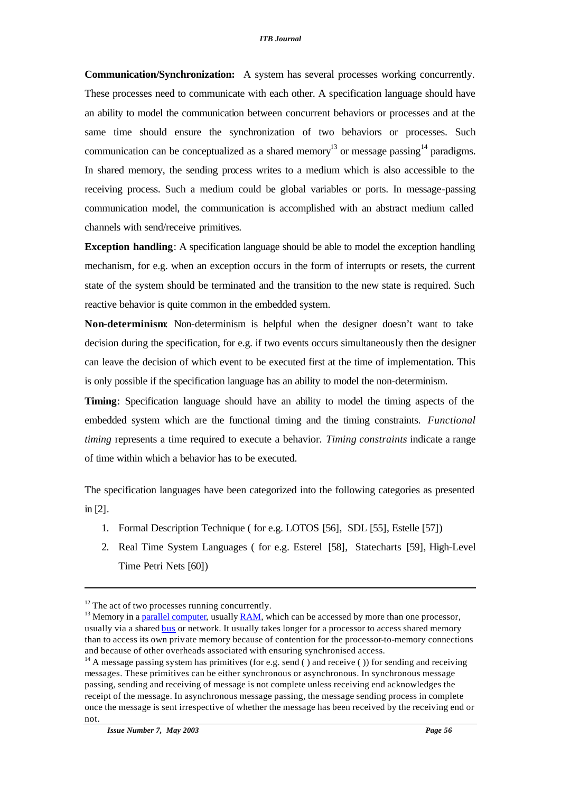**Communication/Synchronization:** A system has several processes working concurrently. These processes need to communicate with each other. A specification language should have an ability to model the communication between concurrent behaviors or processes and at the same time should ensure the synchronization of two behaviors or processes. Such communication can be conceptualized as a shared memory<sup>13</sup> or message passing<sup>14</sup> paradigms. In shared memory, the sending process writes to a medium which is also accessible to the receiving process. Such a medium could be global variables or ports. In message-passing communication model, the communication is accomplished with an abstract medium called channels with send/receive primitives.

**Exception handling**: A specification language should be able to model the exception handling mechanism, for e.g. when an exception occurs in the form of interrupts or resets, the current state of the system should be terminated and the transition to the new state is required. Such reactive behavior is quite common in the embedded system.

**Non-determinism**: Non-determinism is helpful when the designer doesn't want to take decision during the specification, for e.g. if two events occurs simultaneously then the designer can leave the decision of which event to be executed first at the time of implementation. This is only possible if the specification language has an ability to model the non-determinism.

**Timing**: Specification language should have an ability to model the timing aspects of the embedded system which are the functional timing and the timing constraints. *Functional timing* represents a time required to execute a behavior. *Timing constraints* indicate a range of time within which a behavior has to be executed.

The specification languages have been categorized into the following categories as presented in [2].

- 1. Formal Description Technique ( for e.g. LOTOS [56], SDL [55], Estelle [57])
- 2. Real Time System Languages ( for e.g. Esterel [58], Statecharts [59], High-Level Time Petri Nets [60])

 $12$  The act of two processes running concurrently.

 $<sup>13</sup>$  Memory in a parallel computer, usually RAM, which can be accessed by more than one processor,</sup> usually via a shared bus or network. It usually takes longer for a processor to access shared memory than to access its own private memory because of contention for the processor-to-memory connections and because of other overheads associated with ensuring synchronised access.

<sup>&</sup>lt;sup>14</sup> A message passing system has primitives (for e.g. send () and receive ()) for sending and receiving messages. These primitives can be either synchronous or asynchronous. In synchronous message passing, sending and receiving of message is not complete unless receiving end acknowledges the receipt of the message. In asynchronous message passing, the message sending process in complete once the message is sent irrespective of whether the message has been received by the receiving end or not.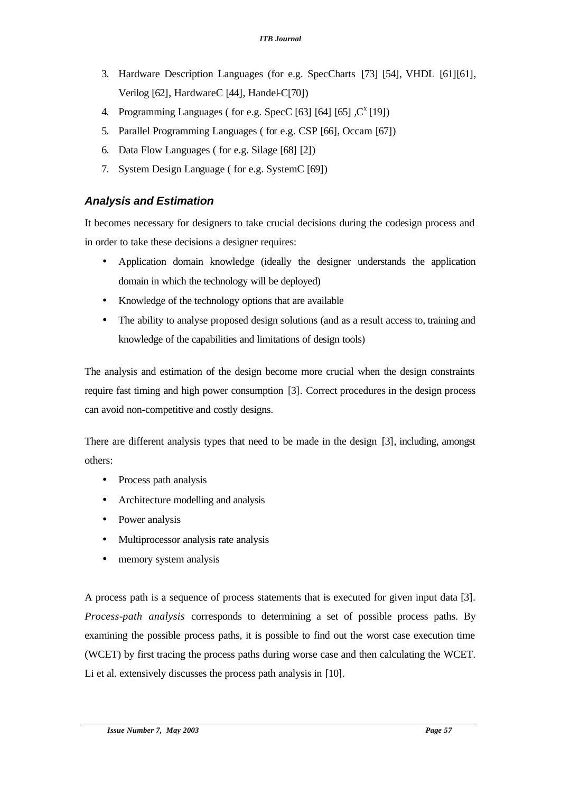- 3. Hardware Description Languages (for e.g. SpecCharts [73] [54], VHDL [61][61], Verilog [62], HardwareC [44], Handel-C[70])
- 4. Programming Languages ( for e.g. SpecC [63] [64] [65]  $\mathcal{C}^x$  [19])
- 5. Parallel Programming Languages ( for e.g. CSP [66], Occam [67])
- 6. Data Flow Languages ( for e.g. Silage [68] [2])
- 7. System Design Language ( for e.g. SystemC [69])

## *Analysis and Estimation*

It becomes necessary for designers to take crucial decisions during the codesign process and in order to take these decisions a designer requires:

- Application domain knowledge (ideally the designer understands the application domain in which the technology will be deployed)
- Knowledge of the technology options that are available
- The ability to analyse proposed design solutions (and as a result access to, training and knowledge of the capabilities and limitations of design tools)

The analysis and estimation of the design become more crucial when the design constraints require fast timing and high power consumption [3]. Correct procedures in the design process can avoid non-competitive and costly designs.

There are different analysis types that need to be made in the design [3], including, amongst others:

- Process path analysis
- Architecture modelling and analysis
- Power analysis
- Multiprocessor analysis rate analysis
- memory system analysis

A process path is a sequence of process statements that is executed for given input data [3]. *Process-path analysis* corresponds to determining a set of possible process paths. By examining the possible process paths, it is possible to find out the worst case execution time (WCET) by first tracing the process paths during worse case and then calculating the WCET. Li et al. extensively discusses the process path analysis in [10].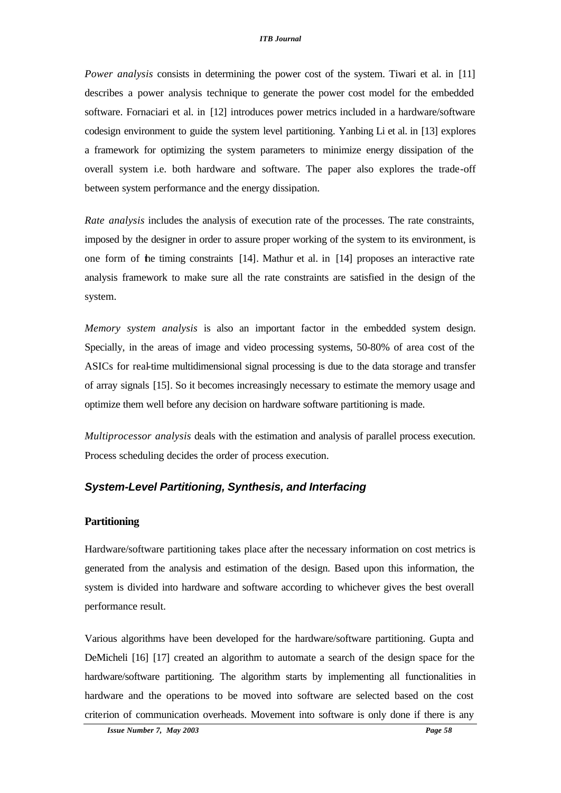*Power analysis* consists in determining the power cost of the system. Tiwari et al. in [11] describes a power analysis technique to generate the power cost model for the embedded software. Fornaciari et al. in [12] introduces power metrics included in a hardware/software codesign environment to guide the system level partitioning. Yanbing Li et al. in [13] explores a framework for optimizing the system parameters to minimize energy dissipation of the overall system i.e. both hardware and software. The paper also explores the trade-off between system performance and the energy dissipation.

*Rate analysis* includes the analysis of execution rate of the processes. The rate constraints, imposed by the designer in order to assure proper working of the system to its environment, is one form of the timing constraints [14]. Mathur et al. in [14] proposes an interactive rate analysis framework to make sure all the rate constraints are satisfied in the design of the system.

*Memory system analysis* is also an important factor in the embedded system design. Specially, in the areas of image and video processing systems, 50-80% of area cost of the ASICs for real-time multidimensional signal processing is due to the data storage and transfer of array signals [15]. So it becomes increasingly necessary to estimate the memory usage and optimize them well before any decision on hardware software partitioning is made.

*Multiprocessor analysis* deals with the estimation and analysis of parallel process execution. Process scheduling decides the order of process execution.

### *System-Level Partitioning, Synthesis, and Interfacing*

#### **Partitioning**

Hardware/software partitioning takes place after the necessary information on cost metrics is generated from the analysis and estimation of the design. Based upon this information, the system is divided into hardware and software according to whichever gives the best overall performance result.

Various algorithms have been developed for the hardware/software partitioning. Gupta and DeMicheli [16] [17] created an algorithm to automate a search of the design space for the hardware/software partitioning. The algorithm starts by implementing all functionalities in hardware and the operations to be moved into software are selected based on the cost criterion of communication overheads. Movement into software is only done if there is any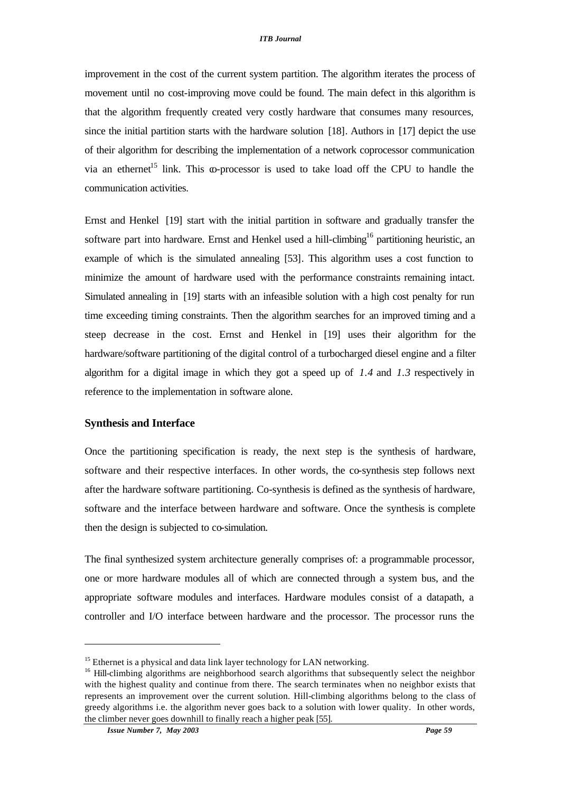improvement in the cost of the current system partition. The algorithm iterates the process of movement until no cost-improving move could be found. The main defect in this algorithm is that the algorithm frequently created very costly hardware that consumes many resources, since the initial partition starts with the hardware solution [18]. Authors in [17] depict the use of their algorithm for describing the implementation of a network coprocessor communication via an ethernet<sup>15</sup> link. This  $\infty$ -processor is used to take load off the CPU to handle the communication activities.

Ernst and Henkel [19] start with the initial partition in software and gradually transfer the software part into hardware. Ernst and Henkel used a hill-climbing<sup>16</sup> partitioning heuristic, an example of which is the simulated annealing [53]. This algorithm uses a cost function to minimize the amount of hardware used with the performance constraints remaining intact. Simulated annealing in [19] starts with an infeasible solution with a high cost penalty for run time exceeding timing constraints. Then the algorithm searches for an improved timing and a steep decrease in the cost. Ernst and Henkel in [19] uses their algorithm for the hardware/software partitioning of the digital control of a turbocharged diesel engine and a filter algorithm for a digital image in which they got a speed up of *1.4* and *1.3* respectively in reference to the implementation in software alone.

#### **Synthesis and Interface**

Once the partitioning specification is ready, the next step is the synthesis of hardware, software and their respective interfaces. In other words, the co-synthesis step follows next after the hardware software partitioning. Co-synthesis is defined as the synthesis of hardware, software and the interface between hardware and software. Once the synthesis is complete then the design is subjected to co-simulation.

The final synthesized system architecture generally comprises of: a programmable processor, one or more hardware modules all of which are connected through a system bus, and the appropriate software modules and interfaces. Hardware modules consist of a datapath, a controller and I/O interface between hardware and the processor. The processor runs the

<sup>&</sup>lt;sup>15</sup> Ethernet is a physical and data link layer technology for LAN networking.

<sup>&</sup>lt;sup>16</sup> Hill-climbing algorithms are neighborhood search algorithms that subsequently select the neighbor with the highest quality and continue from there. The search terminates when no neighbor exists that represents an improvement over the current solution. Hill-climbing algorithms belong to the class of greedy algorithms i.e. the algorithm never goes back to a solution with lower quality. In other words, the climber never goes downhill to finally reach a higher peak [55].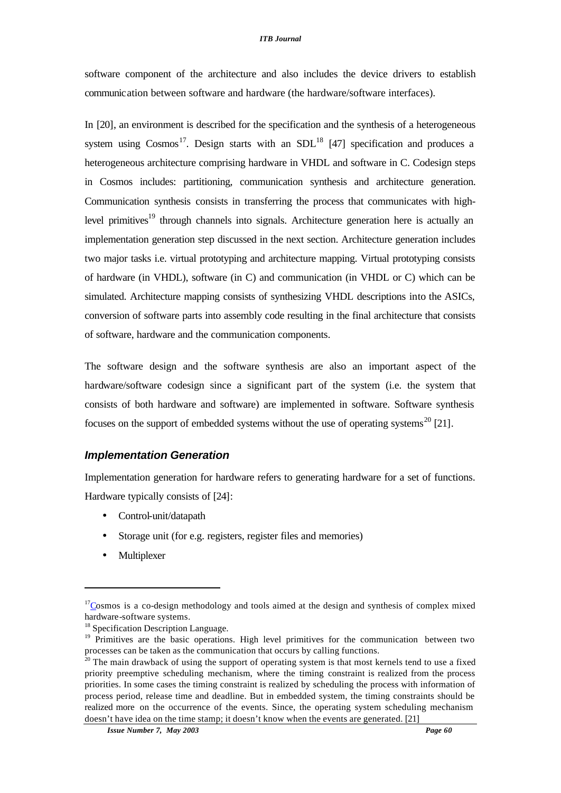software component of the architecture and also includes the device drivers to establish communication between software and hardware (the hardware/software interfaces).

In [20], an environment is described for the specification and the synthesis of a heterogeneous system using  $Cosmos<sup>17</sup>$ . Design starts with an  $SDL<sup>18</sup>$  [47] specification and produces a heterogeneous architecture comprising hardware in VHDL and software in C. Codesign steps in Cosmos includes: partitioning, communication synthesis and architecture generation. Communication synthesis consists in transferring the process that communicates with highlevel primitives<sup>19</sup> through channels into signals. Architecture generation here is actually an implementation generation step discussed in the next section. Architecture generation includes two major tasks i.e. virtual prototyping and architecture mapping. Virtual prototyping consists of hardware (in VHDL), software (in C) and communication (in VHDL or C) which can be simulated. Architecture mapping consists of synthesizing VHDL descriptions into the ASICs, conversion of software parts into assembly code resulting in the final architecture that consists of software, hardware and the communication components.

The software design and the software synthesis are also an important aspect of the hardware/software codesign since a significant part of the system (i.e. the system that consists of both hardware and software) are implemented in software. Software synthesis focuses on the support of embedded systems without the use of operating systems<sup>20</sup> [21].

#### *Implementation Generation*

Implementation generation for hardware refers to generating hardware for a set of functions. Hardware typically consists of [24]:

- Control-unit/datapath
- Storage unit (for e.g. registers, register files and memories)
- **Multiplexer**

 $17$ Cosmos is a co-design methodology and tools aimed at the design and synthesis of complex mixed hardware-software systems.

<sup>&</sup>lt;sup>18</sup> Specification Description Language.

<sup>&</sup>lt;sup>19</sup> Primitives are the basic operations. High level primitives for the communication between two processes can be taken as the communication that occurs by calling functions.

 $20$  The main drawback of using the support of operating system is that most kernels tend to use a fixed priority preemptive scheduling mechanism, where the timing constraint is realized from the process priorities. In some cases the timing constraint is realized by scheduling the process with information of process period, release time and deadline. But in embedded system, the timing constraints should be realized more on the occurrence of the events. Since, the operating system scheduling mechanism doesn't have idea on the time stamp; it doesn't know when the events are generated. [21]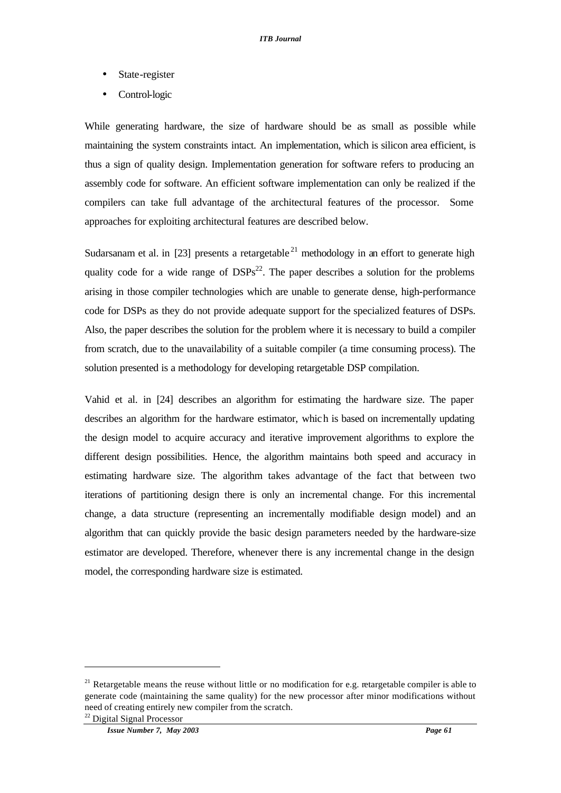- State-register
- Control-logic

While generating hardware, the size of hardware should be as small as possible while maintaining the system constraints intact. An implementation, which is silicon area efficient, is thus a sign of quality design. Implementation generation for software refers to producing an assembly code for software. An efficient software implementation can only be realized if the compilers can take full advantage of the architectural features of the processor. Some approaches for exploiting architectural features are described below.

Sudarsanam et al. in [23] presents a retargetable  $^{21}$  methodology in an effort to generate high quality code for a wide range of  $DSPs^{22}$ . The paper describes a solution for the problems arising in those compiler technologies which are unable to generate dense, high-performance code for DSPs as they do not provide adequate support for the specialized features of DSPs. Also, the paper describes the solution for the problem where it is necessary to build a compiler from scratch, due to the unavailability of a suitable compiler (a time consuming process). The solution presented is a methodology for developing retargetable DSP compilation.

Vahid et al. in [24] describes an algorithm for estimating the hardware size. The paper describes an algorithm for the hardware estimator, which is based on incrementally updating the design model to acquire accuracy and iterative improvement algorithms to explore the different design possibilities. Hence, the algorithm maintains both speed and accuracy in estimating hardware size. The algorithm takes advantage of the fact that between two iterations of partitioning design there is only an incremental change. For this incremental change, a data structure (representing an incrementally modifiable design model) and an algorithm that can quickly provide the basic design parameters needed by the hardware-size estimator are developed. Therefore, whenever there is any incremental change in the design model, the corresponding hardware size is estimated.

 $21$  Retargetable means the reuse without little or no modification for e.g. retargetable compiler is able to generate code (maintaining the same quality) for the new processor after minor modifications without need of creating entirely new compiler from the scratch.

<sup>&</sup>lt;sup>22</sup> Digital Signal Processor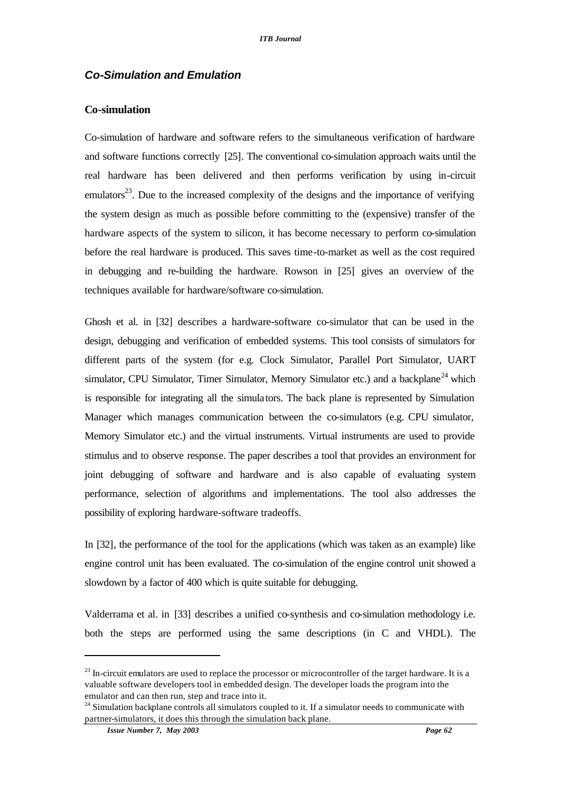## *Co-Simulation and Emulation*

#### **Co-simulation**

Co-simulation of hardware and software refers to the simultaneous verification of hardware and software functions correctly [25]. The conventional co-simulation approach waits until the real hardware has been delivered and then performs verification by using in-circuit emulators<sup>23</sup>. Due to the increased complexity of the designs and the importance of verifying the system design as much as possible before committing to the (expensive) transfer of the hardware aspects of the system to silicon, it has become necessary to perform co-simulation before the real hardware is produced. This saves time-to-market as well as the cost required in debugging and re-building the hardware. Rowson in [25] gives an overview of the techniques available for hardware/software co-simulation.

Ghosh et al. in [32] describes a hardware-software co-simulator that can be used in the design, debugging and verification of embedded systems. This tool consists of simulators for different parts of the system (for e.g. Clock Simulator, Parallel Port Simulator, UART simulator, CPU Simulator, Timer Simulator, Memory Simulator etc.) and a backplane<sup>24</sup> which is responsible for integrating all the simulators. The back plane is represented by Simulation Manager which manages communication between the co-simulators (e.g. CPU simulator, Memory Simulator etc.) and the virtual instruments. Virtual instruments are used to provide stimulus and to observe response. The paper describes a tool that provides an environment for joint debugging of software and hardware and is also capable of evaluating system performance, selection of algorithms and implementations. The tool also addresses the possibility of exploring hardware-software tradeoffs.

In [32], the performance of the tool for the applications (which was taken as an example) like engine control unit has been evaluated. The co-simulation of the engine control unit showed a slowdown by a factor of 400 which is quite suitable for debugging.

Valderrama et al. in [33] describes a unified co-synthesis and co-simulation methodology i.e. both the steps are performed using the same descriptions (in C and VHDL). The

 $23$  In-circuit emulators are used to replace the processor or microcontroller of the target hardware. It is a valuable software developers tool in embedded design. The developer loads the program into the emulator and can then run, step and trace into it.

 $24$  Simulation backplane controls all simulators coupled to it. If a simulator needs to communicate with partner-simulators, it does this through the simulation back plane.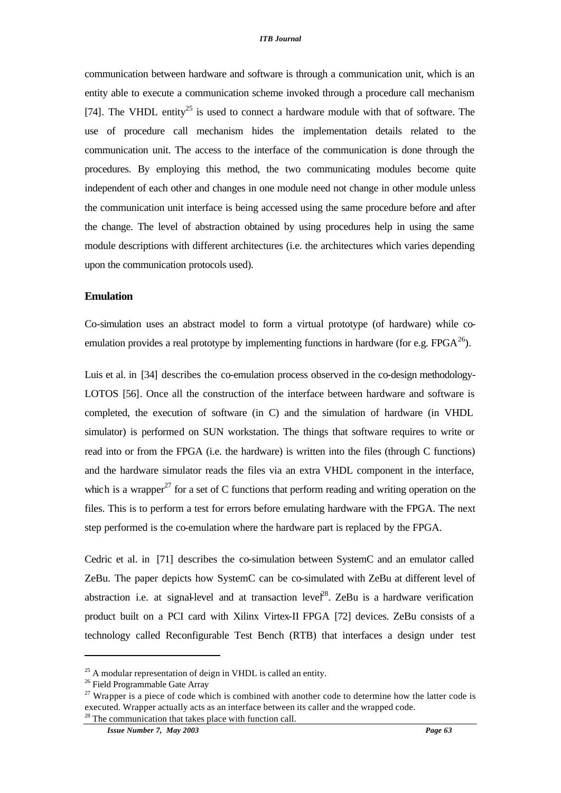communication between hardware and software is through a communication unit, which is an entity able to execute a communication scheme invoked through a procedure call mechanism [74]. The VHDL entity<sup>25</sup> is used to connect a hardware module with that of software. The use of procedure call mechanism hides the implementation details related to the communication unit. The access to the interface of the communication is done through the procedures. By employing this method, the two communicating modules become quite independent of each other and changes in one module need not change in other module unless the communication unit interface is being accessed using the same procedure before and after the change. The level of abstraction obtained by using procedures help in using the same module descriptions with different architectures (i.e. the architectures which varies depending upon the communication protocols used).

#### **Emulation**

Co-simulation uses an abstract model to form a virtual prototype (of hardware) while coemulation provides a real prototype by implementing functions in hardware (for e.g.  $FPGA^{26}$ ).

Luis et al. in [34] describes the co-emulation process observed in the co-design methodology-LOTOS [56]. Once all the construction of the interface between hardware and software is completed, the execution of software (in C) and the simulation of hardware (in VHDL simulator) is performed on SUN workstation. The things that software requires to write or read into or from the FPGA (i.e. the hardware) is written into the files (through C functions) and the hardware simulator reads the files via an extra VHDL component in the interface, which is a wrapper<sup>27</sup> for a set of C functions that perform reading and writing operation on the files. This is to perform a test for errors before emulating hardware with the FPGA. The next step performed is the co-emulation where the hardware part is replaced by the FPGA.

Cedric et al. in [71] describes the co-simulation between SystemC and an emulator called ZeBu. The paper depicts how SystemC can be co-simulated with ZeBu at different level of abstraction i.e. at signal-level and at transaction level<sup>28</sup>. ZeBu is a hardware verification product built on a PCI card with Xilinx Virtex-II FPGA [72] devices. ZeBu consists of a technology called Reconfigurable Test Bench (RTB) that interfaces a design under test

 $25$  A modular representation of deign in VHDL is called an entity.

<sup>&</sup>lt;sup>26</sup> Field Programmable Gate Array

 $27$  Wrapper is a piece of code which is combined with another code to determine how the latter code is executed. Wrapper actually acts as an interface between its caller and the wrapped code.  $28$  The communication that takes place with function call.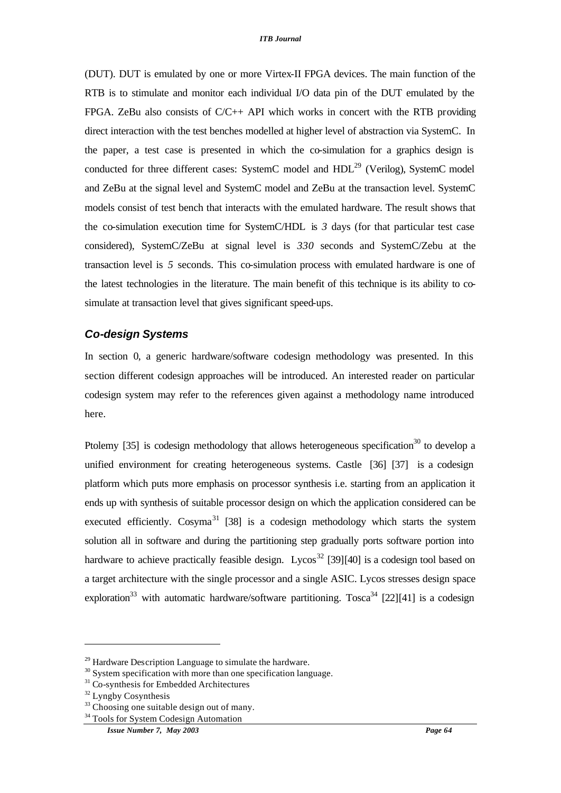(DUT). DUT is emulated by one or more Virtex-II FPGA devices. The main function of the RTB is to stimulate and monitor each individual I/O data pin of the DUT emulated by the FPGA. ZeBu also consists of C/C++ API which works in concert with the RTB providing direct interaction with the test benches modelled at higher level of abstraction via SystemC. In the paper, a test case is presented in which the co-simulation for a graphics design is conducted for three different cases: SystemC model and  $HDL<sup>29</sup>$  (Verilog), SystemC model and ZeBu at the signal level and SystemC model and ZeBu at the transaction level. SystemC models consist of test bench that interacts with the emulated hardware. The result shows that the co-simulation execution time for SystemC/HDL is *3* days (for that particular test case considered), SystemC/ZeBu at signal level is *330* seconds and SystemC/Zebu at the transaction level is *5* seconds. This co-simulation process with emulated hardware is one of the latest technologies in the literature. The main benefit of this technique is its ability to cosimulate at transaction level that gives significant speed-ups.

### *Co-design Systems*

In section 0, a generic hardware/software codesign methodology was presented. In this section different codesign approaches will be introduced. An interested reader on particular codesign system may refer to the references given against a methodology name introduced here.

Ptolemy [35] is codesign methodology that allows heterogeneous specification<sup>30</sup> to develop a unified environment for creating heterogeneous systems. Castle [36] [37] is a codesign platform which puts more emphasis on processor synthesis i.e. starting from an application it ends up with synthesis of suitable processor design on which the application considered can be executed efficiently.  $Cosyma<sup>31</sup>$  [38] is a codesign methodology which starts the system solution all in software and during the partitioning step gradually ports software portion into hardware to achieve practically feasible design. Lycos<sup>32</sup> [39][40] is a codesign tool based on a target architecture with the single processor and a single ASIC. Lycos stresses design space exploration<sup>33</sup> with automatic hardware/software partitioning. Tosca<sup>34</sup> [22][41] is a codesign

 $29$  Hardware Description Language to simulate the hardware.

<sup>&</sup>lt;sup>30</sup> System specification with more than one specification language.

<sup>&</sup>lt;sup>31</sup> Co-synthesis for Embedded Architectures

 $32$  Lyngby Cosynthesis

<sup>&</sup>lt;sup>33</sup> Choosing one suitable design out of many.

<sup>&</sup>lt;sup>34</sup> Tools for System Codesign Automation

*Issue Number 7, May 2003 Page 64*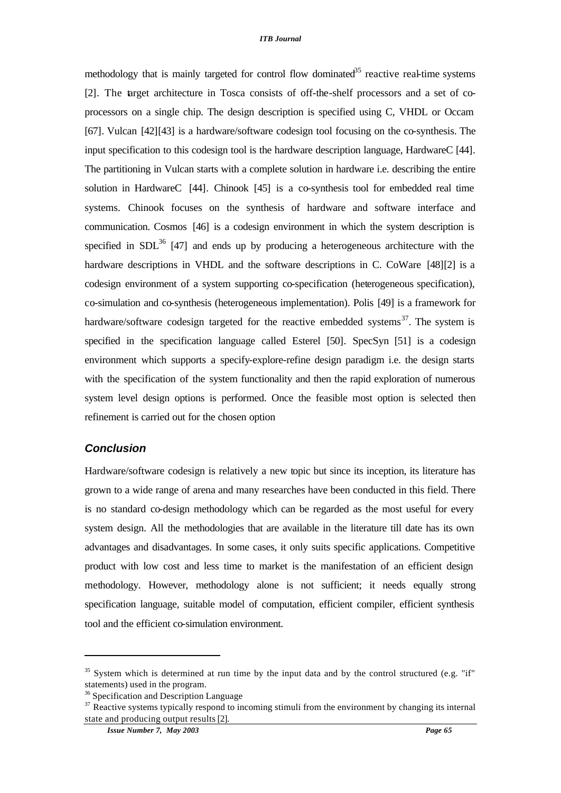methodology that is mainly targeted for control flow dominated<sup>35</sup> reactive real-time systems [2]. The target architecture in Tosca consists of off-the-shelf processors and a set of coprocessors on a single chip. The design description is specified using C, VHDL or Occam [67]. Vulcan [42][43] is a hardware/software codesign tool focusing on the co-synthesis. The input specification to this codesign tool is the hardware description language, HardwareC [44]. The partitioning in Vulcan starts with a complete solution in hardware i.e. describing the entire solution in HardwareC [44]. Chinook [45] is a co-synthesis tool for embedded real time systems. Chinook focuses on the synthesis of hardware and software interface and communication. Cosmos [46] is a codesign environment in which the system description is specified in SDL $^{36}$  [47] and ends up by producing a heterogeneous architecture with the hardware descriptions in VHDL and the software descriptions in C. CoWare [48][2] is a codesign environment of a system supporting co-specification (heterogeneous specification), co-simulation and co-synthesis (heterogeneous implementation). Polis [49] is a framework for hardware/software codesign targeted for the reactive embedded systems<sup>37</sup>. The system is specified in the specification language called Esterel [50]. SpecSyn [51] is a codesign environment which supports a specify-explore-refine design paradigm i.e. the design starts with the specification of the system functionality and then the rapid exploration of numerous system level design options is performed. Once the feasible most option is selected then refinement is carried out for the chosen option

## *Conclusion*

 $\overline{a}$ 

Hardware/software codesign is relatively a new topic but since its inception, its literature has grown to a wide range of arena and many researches have been conducted in this field. There is no standard co-design methodology which can be regarded as the most useful for every system design. All the methodologies that are available in the literature till date has its own advantages and disadvantages. In some cases, it only suits specific applications. Competitive product with low cost and less time to market is the manifestation of an efficient design methodology. However, methodology alone is not sufficient; it needs equally strong specification language, suitable model of computation, efficient compiler, efficient synthesis tool and the efficient co-simulation environment.

 $35$  System which is determined at run time by the input data and by the control structured (e.g. "if" statements) used in the program.

<sup>&</sup>lt;sup>36</sup> Specification and Description Language

<sup>&</sup>lt;sup>37</sup> Reactive systems typically respond to incoming stimuli from the environment by changing its internal state and producing output results [2].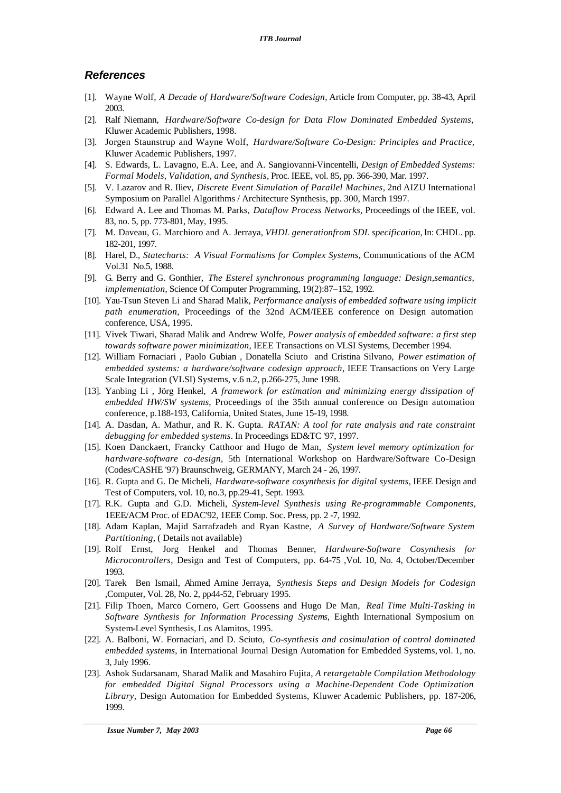### *References*

- [1]. Wayne Wolf, *A Decade of Hardware/Software Codesign,* Article from Computer, pp. 38-43, April 2003.
- [2]. Ralf Niemann, *Hardware/Software Co-design for Data Flow Dominated Embedded Systems,*  Kluwer Academic Publishers, 1998.
- [3]. Jorgen Staunstrup and Wayne Wolf, *Hardware/Software Co-Design: Principles and Practice,*  Kluwer Academic Publishers, 1997.
- [4]. S. Edwards, L. Lavagno, E.A. Lee, and A. Sangiovanni-Vincentelli, *Design of Embedded Systems: Formal Models, Validation, and Synthesis*, Proc. IEEE, vol. 85, pp. 366-390, Mar. 1997.
- [5]. V. Lazarov and R. Iliev, *Discrete Event Simulation of Parallel Machines,* 2nd AIZU International Symposium on Parallel Algorithms / Architecture Synthesis, pp. 300, March 1997.
- [6]. Edward A. Lee and Thomas M. Parks, *Dataflow Process Networks,* Proceedings of the IEEE, vol. 83, no. 5, pp. 773-801, May, 1995.
- [7]. M. Daveau, G. Marchioro and A. Jerraya, *VHDL generationfrom SDL specification,* In: CHDL. pp. 182-201, 1997.
- [8]. Harel, D., *Statecharts: A Visual Formalisms for Complex Systems*, Communications of the ACM Vol.31 No.5, 1988.
- [9]. G. Berry and G. Gonthier, *The Esterel synchronous programming language: Design,semantics, implementation*, Science Of Computer Programming, 19(2):87–152, 1992.
- [10]. Yau-Tsun Steven Li and Sharad Malik, *Performance analysis of embedded software using implicit path enumeration*, Proceedings of the 32nd ACM/IEEE conference on Design automation conference, USA, 1995.
- [11]. Vivek Tiwari, Sharad Malik and Andrew Wolfe, *Power analysis of embedded software: a first step towards software power minimization*, IEEE Transactions on VLSI Systems, December 1994.
- [12]. William Fornaciari , Paolo Gubian , Donatella Sciuto and Cristina Silvano, *Power estimation of embedded systems: a hardware/software codesign approach*, IEEE Transactions on Very Large Scale Integration (VLSI) Systems, v.6 n.2, p.266-275, June 1998.
- [13]. Yanbing Li , Jörg Henkel, *A framework for estimation and minimizing energy dissipation of embedded HW/SW systems*, Proceedings of the 35th annual conference on Design automation conference, p.188-193, California, United States, June 15-19, 1998.
- [14]. A. Dasdan, A. Mathur, and R. K. Gupta. *RATAN: A tool for rate analysis and rate constraint debugging for embedded systems*. In Proceedings ED&TC '97, 1997.
- [15]. Koen Danckaert, Francky Catthoor and Hugo de Man, *System level memory optimization for hardware-software co-design*, 5th International Workshop on Hardware/Software Co-Design (Codes/CASHE '97) Braunschweig, GERMANY, March 24 - 26, 1997.
- [16]. R. Gupta and G. De Micheli, *Hardware-software cosynthesis for digital systems*, IEEE Design and Test of Computers, vol. 10, no.3, pp.29-41, Sept. 1993.
- [17]. R.K. Gupta and G.D. Micheli, *System-level Synthesis using Re-programmable Components*, 1EEE/ACM Proc. of EDAC'92, 1EEE Comp. Soc. Press, pp. 2 -7, 1992.
- [18]. Adam Kaplan, Majid Sarrafzadeh and Ryan Kastne, *A Survey of Hardware/Software System Partitioning*, ( Details not available)
- [19]. Rolf Ernst, Jorg Henkel and Thomas Benner, *Hardware-Software Cosynthesis for Microcontrollers*, Design and Test of Computers, pp. 64-75 ,Vol. 10, No. 4, October/December 1993.
- [20]. Tarek Ben Ismail, Ahmed Amine Jerraya, *Synthesis Steps and Design Models for Codesign* ,Computer, Vol. 28, No. 2, pp44-52, February 1995.
- [21]. Filip Thoen, Marco Cornero, Gert Goossens and Hugo De Man, *Real Time Multi-Tasking in Software Synthesis for Information Processing Systems*, Eighth International Symposium on System-Level Synthesis, Los Alamitos, 1995.
- [22]. A. Balboni, W. Fornaciari, and D. Sciuto, *Co-synthesis and cosimulation of control dominated embedded systems*, in International Journal Design Automation for Embedded Systems, vol. 1, no. 3, July 1996.
- [23]. Ashok Sudarsanam, Sharad Malik and Masahiro Fujita, *A retargetable Compilation Methodology for embedded Digital Signal Processors using a Machine-Dependent Code Optimization Library*, Design Automation for Embedded Systems, Kluwer Academic Publishers, pp. 187-206, 1999.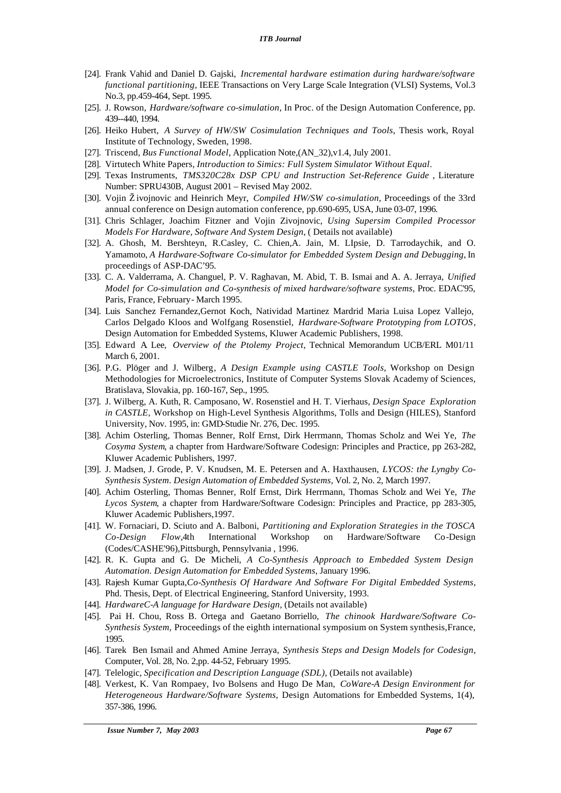- [24]. Frank Vahid and Daniel D. Gajski, *Incremental hardware estimation during hardware/software functional partitioning*, IEEE Transactions on Very Large Scale Integration (VLSI) Systems, Vol.3 No.3, pp.459-464, Sept. 1995.
- [25]. J. Rowson, *Hardware/software co-simulation*, In Proc. of the Design Automation Conference, pp. 439--440, 1994.
- [26]. Heiko Hubert, *A Survey of HW/SW Cosimulation Techniques and Tools*, Thesis work, Royal Institute of Technology, Sweden, 1998.
- [27]. Triscend, *Bus Functional Model*, Application Note,(AN\_32),v1.4, July 2001.
- [28]. Virtutech White Papers, *Introduction to Simics: Full System Simulator Without Equal*.
- [29]. Texas Instruments, *TMS320C28x DSP CPU and Instruction Set-Reference Guide* , Literature Number: SPRU430B, August 2001 – Revised May 2002.
- [30]. Vojin Živojnovic and Heinrich Meyr, *Compiled HW/SW co-simulation*, Proceedings of the 33rd annual conference on Design automation conference, pp.690-695, USA, June 03-07, 1996.
- [31]. Chris Schlager, Joachim Fitzner and Vojin Zivojnovic, *Using Supersim Compiled Processor Models For Hardware, Software And System Design*, ( Details not available)
- [32]. A. Ghosh, M. Bershteyn, R.Casley, C. Chien,A. Jain, M. LIpsie, D. Tarrodaychik, and O. Yamamoto, *A Hardware-Software Co-simulator for Embedded System Design and Debugging*, In proceedings of ASP-DAC'95.
- [33]. C. A. Valderrama, A. Changuel, P. V. Raghavan, M. Abid, T. B. Ismai and A. A. Jerraya, *Unified Model for Co-simulation and Co-synthesis of mixed hardware/software systems,* Proc. EDAC'95, Paris, France, February- March 1995.
- [34]. Luis Sanchez Fernandez,Gernot Koch, Natividad Martinez Mardrid Maria Luisa Lopez Vallejo, Carlos Delgado Kloos and Wolfgang Rosenstiel, *Hardware-Software Prototyping from LOTOS*, Design Automation for Embedded Systems, Kluwer Academic Publishers, 1998.
- [35]. Edward A. Lee, *Overview of the Ptolemy Project*, Technical Memorandum UCB/ERL M01/11 March 6, 2001.
- [36]. P.G. Plöger and J. Wilberg*, A Design Example using CASTLE Tools*, Workshop on Design Methodologies for Microelectronics, Institute of Computer Systems Slovak Academy of Sciences, Bratislava, Slovakia, pp. 160-167, Sep., 1995.
- [37]. J. Wilberg, A. Kuth, R. Camposano, W. Rosenstiel and H. T. Vierhaus, *Design Space Exploration in CASTLE*, Workshop on High-Level Synthesis Algorithms, Tolls and Design (HILES), Stanford University, Nov. 1995, in: GMD-Studie Nr. 276, Dec. 1995.
- [38]. Achim Osterling, Thomas Benner, Rolf Ernst, Dirk Herrmann, Thomas Scholz and Wei Ye, *The Cosyma System*, a chapter from Hardware/Software Codesign: Principles and Practice, pp 263-282, Kluwer Academic Publishers, 1997.
- [39]. J. Madsen, J. Grode, P. V. Knudsen, M. E. Petersen and A. Haxthausen, *LYCOS: the Lyngby Co-Synthesis System. Design Automation of Embedded Systems*, Vol. 2, No. 2, March 1997.
- [40]. Achim Osterling, Thomas Benner, Rolf Ernst, Dirk Herrmann, Thomas Scholz and Wei Ye, *The Lycos System*, a chapter from Hardware/Software Codesign: Principles and Practice, pp 283-305, Kluwer Academic Publishers,1997.
- [41]. W. Fornaciari, D. Sciuto and A. Balboni, *Partitioning and Exploration Strategies in the TOSCA Co-Design Flow*,4th International Workshop on Hardware/Software Co-Design (Codes/CASHE'96),Pittsburgh, Pennsylvania , 1996.
- [42]. R. K. Gupta and G. De Micheli, *A Co-Synthesis Approach to Embedded System Design Automation. Design Automation for Embedded Systems*, January 1996.
- [43]. Rajesh Kumar Gupta,*Co-Synthesis Of Hardware And Software For Digital Embedded Systems*, Phd. Thesis, Dept. of Electrical Engineering, Stanford University, 1993.
- [44]. *HardwareC-A language for Hardware Design,* (Details not available)
- [45]. Pai H. Chou, Ross B. Ortega and Gaetano Borriello, *The chinook Hardware/Software Co-Synthesis System,* Proceedings of the eighth international symposium on System synthesis,France, 1995.
- [46]. Tarek Ben Ismail and Ahmed Amine Jerraya, *Synthesis Steps and Design Models for Codesign*, Computer, Vol. 28, No. 2,pp. 44-52, February 1995.
- [47]. Telelogic, *Specification and Description Language (SDL),* (Details not available)
- [48]. Verkest, K. Van Rompaey, Ivo Bolsens and Hugo De Man, *CoWare-A Design Environment for Heterogeneous Hardware/Software Systems*, Design Automations for Embedded Systems, 1(4), 357-386, 1996.